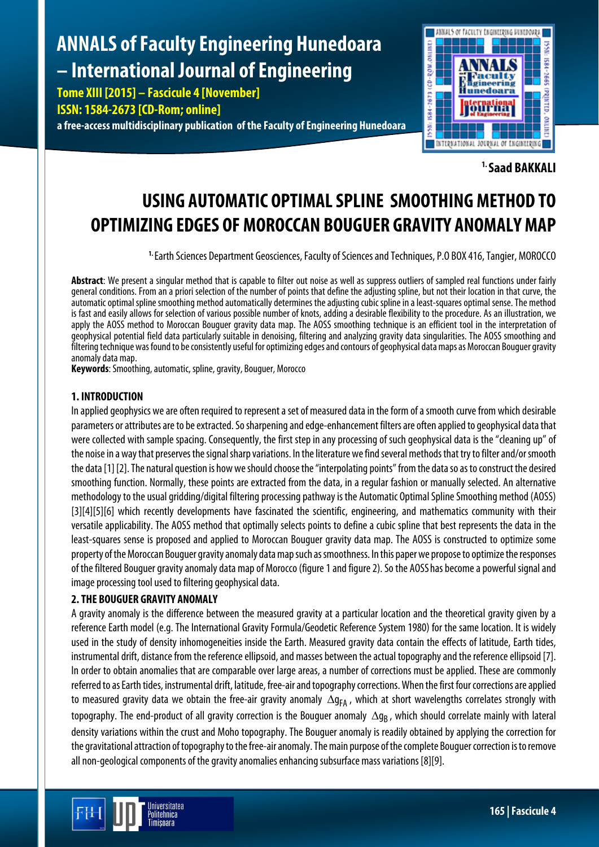# **ANNALS of Faculty Engineering Hunedoara – International Journal of Engineering**

**Tome XIII [2015] – Fascicule 4 [November]**

**ISSN: 1584-2673 [CD-Rom; online]**

**a free-access multidisciplinary publication of the Faculty of Engineering Hunedoara**



**1. Saad BAKKALI**

# **USING AUTOMATIC OPTIMAL SPLINE SMOOTHING METHOD TO OPTIMIZING EDGES OF MOROCCAN BOUGUER GRAVITY ANOMALY MAP**

**1.** Earth Sciences Department Geosciences, Faculty of Sciences and Techniques, P.O BOX 416, Tangier, MOROCCO

**Abstract**: We present a singular method that is capable to filter out noise as well as suppress outliers of sampled real functions under fairly general conditions. From an a priori selection of the number of points that define the adjusting spline, but not their location in that curve, the automatic optimal spline smoothing method automatically determines the adjusting cubic spline in a least-squares optimal sense. The method is fast and easily allows for selection of various possible number of knots, adding a desirable flexibility to the procedure. As an illustration, we apply the AOSS method to Moroccan Bouguer gravity data map. The AOSS smoothing technique is an efficient tool in the interpretation of geophysical potential field data particularly suitable in denoising, filtering and analyzing gravity data singularities. The AOSS smoothing and filtering technique was found to be consistently useful for optimizing edges and contours of geophysical data maps as Moroccan Bouguer gravity anomaly data map.

**Keywords**: Smoothing, automatic, spline, gravity, Bouguer, Morocco

#### **1. INTRODUCTION**

In applied geophysics we are often required to represent a set of measured data in the form of a smooth curve from which desirable parameters or attributes are to be extracted. So sharpening and edge-enhancement filters are often applied to geophysical data that were collected with sample spacing. Consequently, the first step in any processing of such geophysical data is the "cleaning up" of the noise in a way that preserves the signal sharp variations. In the literature we find several methods that try to filter and/or smooth the data [1] [2]. The natural question is how we should choose the "interpolating points" from the data so as to construct the desired smoothing function. Normally, these points are extracted from the data, in a regular fashion or manually selected. An alternative methodology to the usual gridding/digital filtering processing pathway is the Automatic Optimal Spline Smoothing method (AOSS) [3][4][5][6] which recently developments have fascinated the scientific, engineering, and mathematics community with their versatile applicability. The AOSS method that optimally selects points to define a cubic spline that best represents the data in the least-squares sense is proposed and applied to Moroccan Bouguer gravity data map. The AOSS is constructed to optimize some property of the Moroccan Bouguer gravity anomaly data map such as smoothness. In this paper we propose to optimize the responses of the filtered Bouguer gravity anomaly data map of Morocco (figure 1 and figure 2). So the AOSShas become a powerful signal and image processing tool used to filtering geophysical data.

# **2. THE BOUGUER GRAVITY ANOMALY**

A gravity anomaly is the difference between the measured gravity at a particular location and the theoretical gravity given by a reference Earth model (e.g. The International Gravity Formula/Geodetic Reference System 1980) for the same location. It is widely used in the study of density inhomogeneities inside the Earth. Measured gravity data contain the effects of latitude, Earth tides, instrumental drift, distance from the reference ellipsoid, and masses between the actual topography and the reference ellipsoid [7]. In order to obtain anomalies that are comparable over large areas, a number of corrections must be applied. These are commonly referred to as Earth tides, instrumental drift, latitude, free-air and topography corrections. When the first four corrections are applied to measured gravity data we obtain the free-air gravity anomaly ∆g<sub>FA</sub>, which at short wavelengths correlates strongly with topography. The end-product of all gravity correction is the Bouguer anomaly  $\Delta q_R$ , which should correlate mainly with lateral density variations within the crust and Moho topography. The Bouguer anomaly is readily obtained by applying the correction for the gravitational attraction of topography to the free-air anomaly. The main purpose of the complete Bouguer correction is to remove all non-geological components of the gravity anomalies enhancing subsurface mass variations [8][9].

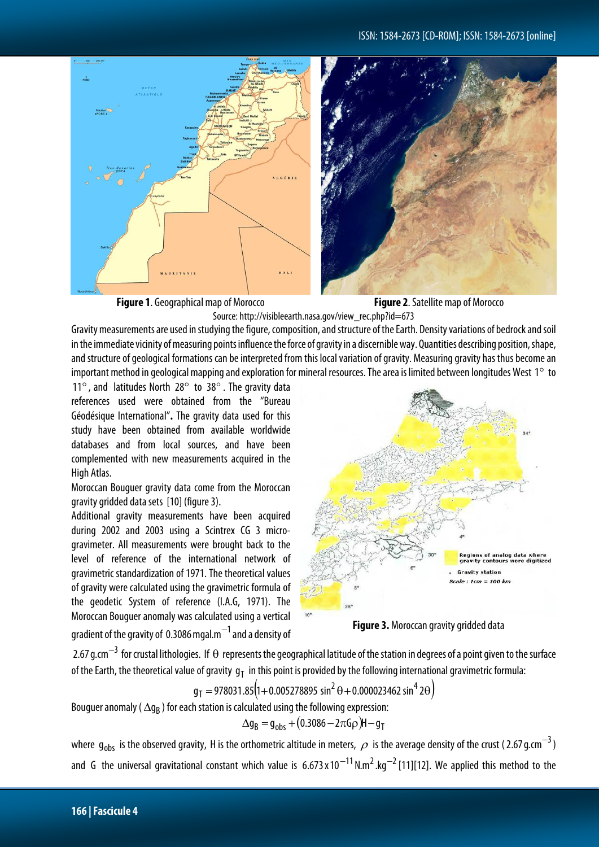





**Figure 1**. Geographical map of Morocco **Figure 2**. Satellite map of Morocco



Gravity measurements are used in studying the figure, composition, and structure of the Earth. Density variations of bedrock and soil in the immediate vicinity of measuring points influence the force of gravity in a discernible way. Quantities describing position, shape, and structure of geological formations can be interpreted from this local variation of gravity. Measuring gravity has thus become an important method in geological mapping and exploration for mineral resources. The area is limited between longitudes West  $1^{\circ}$  to

11°, and latitudes North 28° to 38°. The gravity data references used were obtained from the "Bureau Géodésique International"**.** The gravity data used for this study have been obtained from available worldwide databases and from local sources, and have been complemented with new measurements acquired in the High Atlas.

Moroccan Bouguer gravity data come from the Moroccan gravity gridded data sets [10] (figure 3).

Additional gravity measurements have been acquired during 2002 and 2003 using a Scintrex CG 3 microgravimeter. All measurements were brought back to the level of reference of the international network of gravimetric standardization of 1971. The theoretical values of gravity were calculated using the gravimetric formula of the geodetic System of reference (I.A.G, 1971). The Moroccan Bouguer anomaly was calculated using a vertical gradient of the gravity of 0.3086 mgal.m<sup>-1</sup> and a density of



**Figure 3.** Moroccan gravity gridded data

2.67 g.cm<sup>-3</sup> for crustal lithologies. If  $\Theta$  represents the geographical latitude of the station in degrees of a point given to the surface of the Earth, the theoretical value of gravity  $g_T$  in this point is provided by the following international gravimetric formula:

$$
g_T = 978031.85(1+0.005278895 \sin^2 \theta + 0.000023462 \sin^4 2\theta)
$$

Bouguer anomaly ( $\Delta g_B$ ) for each station is calculated using the following expression:

$$
\Delta g_B = g_{obs} + (0.3086 - 2\pi G \rho)H - g_T
$$

where  $g_{\text{obs}}$  is the observed gravity, H is the orthometric altitude in meters,  $\rho$  is the average density of the crust (2.67 g.cm<sup>-3</sup>) and G the universal gravitational constant which value is  $6.673 \times 10^{-11}$  N.m<sup>2</sup>.kg<sup>-2</sup> [11][12]. We applied this method to the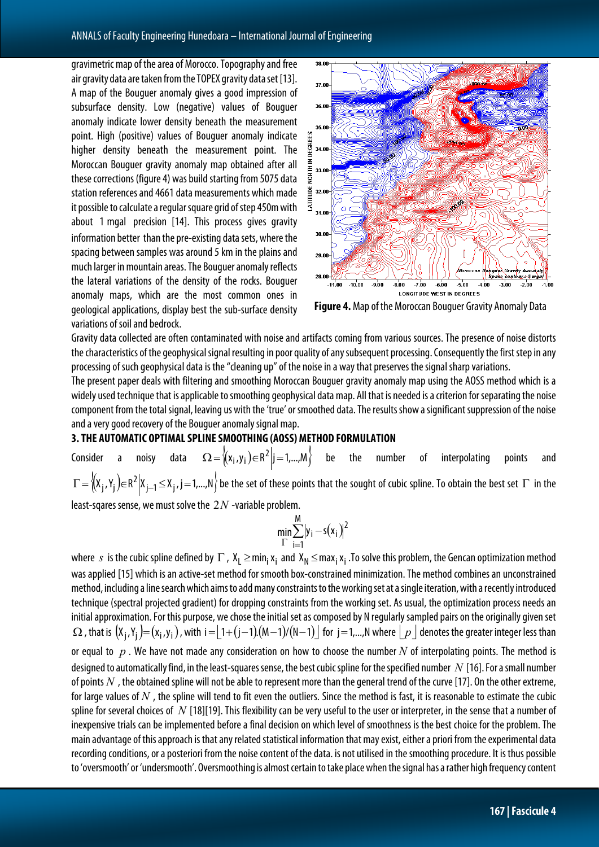gravimetric map of the area of Morocco. Topography and free air gravity data are taken from the TOPEX gravity data set [13]. A map of the Bouguer anomaly gives a good impression of subsurface density. Low (negative) values of Bouguer anomaly indicate lower density beneath the measurement point. High (positive) values of Bouguer anomaly indicate higher density beneath the measurement point. The Moroccan Bouguer gravity anomaly map obtained after all these corrections (figure 4) was build starting from 5075 data station references and 4661 data measurements which made it possible to calculate a regular square grid of step 450m with about 1 mgal precision [14]. This process gives gravity information better than the pre-existing data sets, where the spacing between samples was around 5 km in the plains and much larger in mountain areas. The Bouguer anomaly reflects the lateral variations of the density of the rocks. Bouguer anomaly maps, which are the most common ones in geological applications, display best the sub-surface density variations of soil and bedrock.



**Figure 4.** Map of the Moroccan Bouguer Gravity Anomaly Data

Gravity data collected are often contaminated with noise and artifacts coming from various sources. The presence of noise distorts the characteristics of the geophysical signal resulting in poor quality of any subsequent processing. Consequently the first step in any processing of such geophysical data is the "cleaning up" of the noise in a way that preserves the signal sharp variations.

The present paper deals with filtering and smoothing Moroccan Bouguer gravity anomaly map using the AOSS method which is a widely used technique that is applicable to smoothing geophysical datamap. All that is needed is a criterion for separating the noise component from the total signal, leaving us with the 'true' or smoothed data.The results show a significant suppression of the noise and a very good recovery of the Bouguer anomaly signal map.

## **3. THE AUTOMATIC OPTIMAL SPLINE SMOOTHING (AOSS) METHOD FORMULATION**

Consider a noisy data  $\Omega = \{(x_i,y_i) \in R^2 | i=1,...,M\}$  be the number of interpolating points and  $\Gamma = \{(X_j, Y_j) \in R^2 | X_{j-1} \le X_j, j = 1,...,N\}$  be the set of these points that the sought of cubic spline. To obtain the best set  $\Gamma$  in the

least-sqares sense, we must solve the 2*N* -variable problem.

$$
\min_{\Gamma}\sum_{i=1}^{M}|y_i-s(x_i)|^2
$$

where *s* is the cubic spline defined by  $\Gamma$ ,  $X_1 \geq min_i x_i$  and  $X_N \leq max_i x_i$ . To solve this problem, the Gencan optimization method was applied [15] which is an active-set method for smooth box-constrained minimization. The method combines an unconstrained method, including a line search which aims to add many constraints to the working set at a single iteration, with a recently introduced technique (spectral projected gradient) for dropping constraints from the working set. As usual, the optimization process needs an initial approximation. For this purpose, we chose the initial set as composed by N regularly sampled pairs on the originally given set  $\Omega$ , that is  $(X_i, Y_i) = (X_i, Y_i)$ , with i =  $\lfloor 1+(j-1)(M-1)/(N-1) \rfloor$  for j = 1,...,N where  $\lfloor p \rfloor$  denotes the greater integer less than or equal to *p* . We have not made any consideration on how to choose the number *N* of interpolating points. The method is designed to automatically find, in the least-squares sense, the best cubic spline for the specified number *N* [16]. For a small number of points  $N$ , the obtained spline will not be able to represent more than the general trend of the curve [17]. On the other extreme, for large values of *N* , the spline will tend to fit even the outliers. Since the method is fast, it is reasonable to estimate the cubic spline for several choices of *N* [18][19]. This flexibility can be very useful to the user or interpreter, in the sense that a number of inexpensive trials can be implemented before a final decision on which level of smoothness is the best choice for the problem. The main advantage of this approach is that any related statistical information that may exist, either a priori from the experimental data recording conditions, or a posteriori from the noise content of the data. is not utilised in the smoothing procedure. It is thus possible to 'oversmooth' or 'undersmooth'. Oversmoothing is almost certain to take place when the signal has a rather high frequency content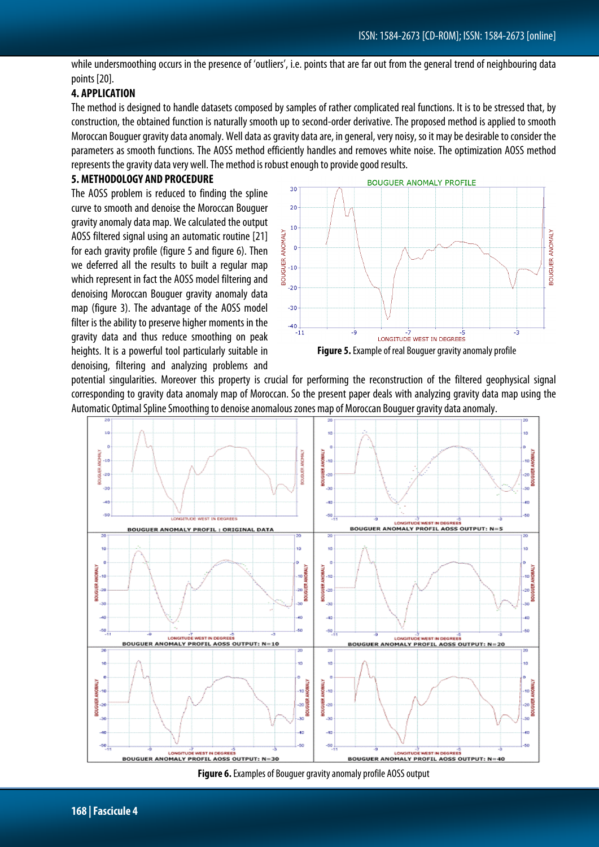while undersmoothing occurs in the presence of 'outliers', i.e. points that are far out from the general trend of neighbouring data points [20].

## **4. APPLICATION**

The method is designed to handle datasets composed by samples of rather complicated real functions. It is to be stressed that, by construction, the obtained function is naturally smooth up to second-order derivative. The proposed method is applied to smooth Moroccan Bouguer gravity data anomaly. Well data as gravity data are, in general, very noisy, so it may be desirable to consider the parameters as smooth functions. The AOSS method efficiently handles and removes white noise. The optimization AOSS method represents the gravity data very well. The method is robust enough to provide good results.

#### **5. METHODOLOGY AND PROCEDURE**

The AOSS problem is reduced to finding the spline curve to smooth and denoise the Moroccan Bouguer gravity anomaly data map. We calculated the output AOSS filtered signal using an automatic routine [21] for each gravity profile (figure 5 and figure 6). Then we deferred all the results to built a regular map which represent in fact the AOSS model filtering and denoising Moroccan Bouguer gravity anomaly data map (figure 3). The advantage of the AOSS model filter is the ability to preserve higher moments in the gravity data and thus reduce smoothing on peak heights. It is a powerful tool particularly suitable in denoising, filtering and analyzing problems and



potential singularities. Moreover this property is crucial for performing the reconstruction of the filtered geophysical signal corresponding to gravity data anomaly map of Moroccan. So the present paper deals with analyzing gravity data map using the Automatic Optimal Spline Smoothing to denoise anomalous zones map of Moroccan Bouguer gravity data anomaly.



**Figure 6.** Examples of Bouguer gravity anomaly profile AOSS output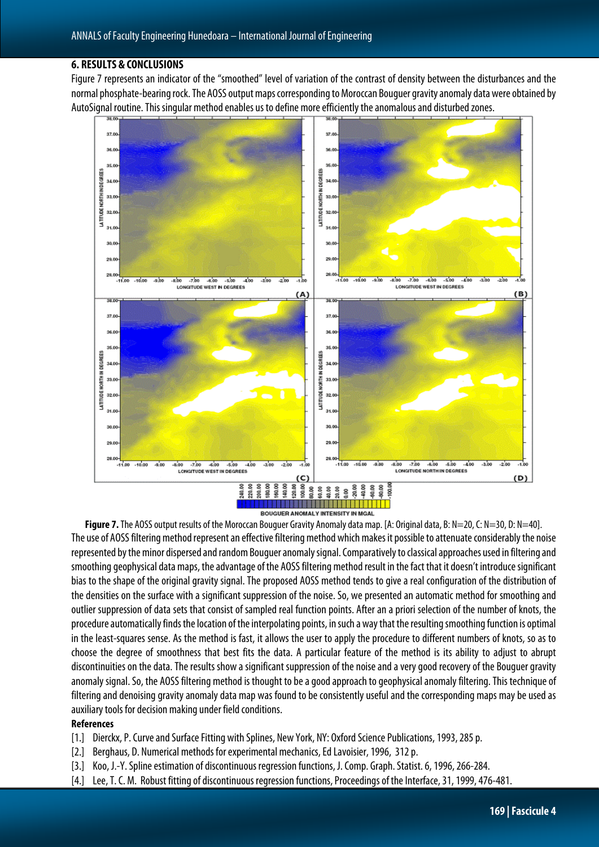#### **6. RESULTS & CONCLUSIONS**

Figure 7 represents an indicator of the "smoothed" level of variation of the contrast of density between the disturbances and the normal phosphate-bearing rock. The AOSS output maps corresponding to Moroccan Bouguer gravity anomaly data were obtained by AutoSignal routine. This singular method enables us to define more efficiently the anomalous and disturbed zones.



BOUGUER ANOMALY INTENSITY IN MGAL

**Figure 7.** The AOSS output results of the Moroccan Bouguer Gravity Anomaly data map. [A: Original data, B: N=20, C: N=30, D: N=40]. The use of AOSS filtering method represent an effective filtering method which makes it possible to attenuate considerably the noise represented by the minor dispersed and random Bouguer anomaly signal. Comparatively to classical approaches used in filtering and smoothing geophysical datamaps, the advantage of the AOSS filtering method result in the fact that it doesn't introduce significant bias to the shape of the original gravity signal. The proposed AOSS method tends to give a real configuration of the distribution of the densities on the surface with a significant suppression of the noise. So, we presented an automatic method for smoothing and outlier suppression of data sets that consist of sampled real function points. After an a priori selection of the number of knots, the procedure automatically finds the location of the interpolating points, in such a way that the resulting smoothing function is optimal in the least-squares sense. As the method is fast, it allows the user to apply the procedure to different numbers of knots, so as to choose the degree of smoothness that best fits the data. A particular feature of the method is its ability to adjust to abrupt discontinuities on the data. The results show a significant suppression of the noise and a very good recovery of the Bouguer gravity anomaly signal. So, the AOSS filtering method is thought to be a good approach to geophysical anomaly filtering. This technique of filtering and denoising gravity anomaly data map was found to be consistently useful and the corresponding maps may be used as auxiliary tools for decision making under field conditions.

#### **References**

- [1.] Dierckx, P. Curve and Surface Fitting with Splines, New York, NY: Oxford Science Publications, 1993, 285 p.
- [2.] Berghaus, D. Numerical methods for experimental mechanics, Ed Lavoisier, 1996, 312 p.
- [3.] Koo, J.-Y. Spline estimation of discontinuous regression functions, J. Comp. Graph. Statist. 6, 1996, 266-284.
- [4.] Lee, T. C. M. Robust fitting of discontinuous regression functions, Proceedings of the Interface, 31, 1999, 476-481.